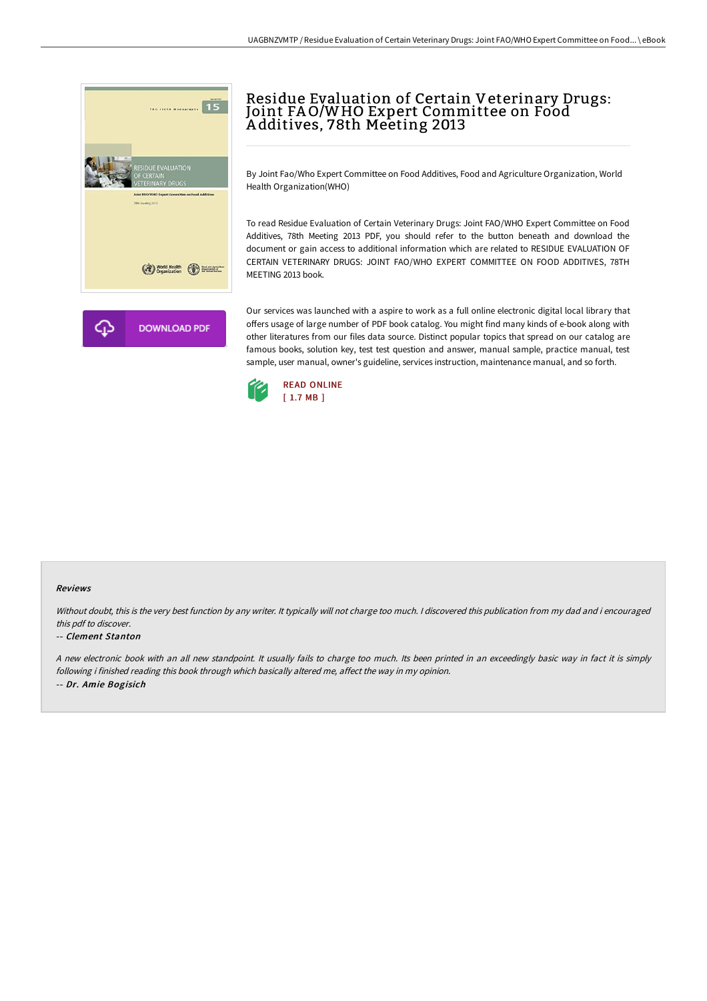

# Residue Evaluation of Certain Veterinary Drugs: Joint FAO/WHO Expert Committee on Food A dditives, 78th Meeting 2013

By Joint Fao/Who Expert Committee on Food Additives, Food and Agriculture Organization, World Health Organization(WHO)

To read Residue Evaluation of Certain Veterinary Drugs: Joint FAO/WHO Expert Committee on Food Additives, 78th Meeting 2013 PDF, you should refer to the button beneath and download the document or gain access to additional information which are related to RESIDUE EVALUATION OF CERTAIN VETERINARY DRUGS: JOINT FAO/WHO EXPERT COMMITTEE ON FOOD ADDITIVES, 78TH MEETING 2013 book.

Our services was launched with a aspire to work as a full online electronic digital local library that offers usage of large number of PDF book catalog. You might find many kinds of e-book along with other literatures from our files data source. Distinct popular topics that spread on our catalog are famous books, solution key, test test question and answer, manual sample, practice manual, test sample, user manual, owner's guideline, services instruction, maintenance manual, and so forth.



#### Reviews

Without doubt, this is the very best function by any writer. It typically will not charge too much. I discovered this publication from my dad and i encouraged this pdf to discover.

#### -- Clement Stanton

<sup>A</sup> new electronic book with an all new standpoint. It usually fails to charge too much. Its been printed in an exceedingly basic way in fact it is simply following i finished reading this book through which basically altered me, affect the way in my opinion. -- Dr. Amie Bogisich